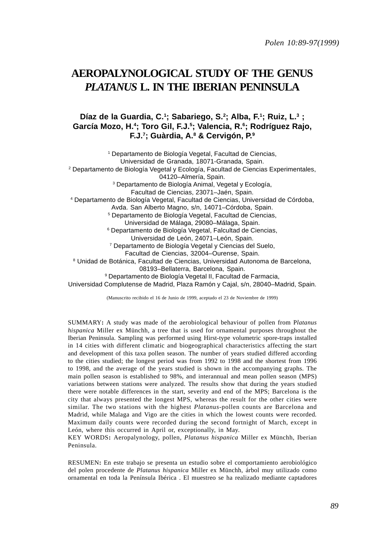# **AEROPALYNOLOGICAL STUDY OF THE GENUS** *PLATANUS* **L. IN THE IBERIAN PENINSULA**

## **Díaz de la Guardia, C.1 ; Sabariego, S.2 ; Alba, F.1 ; Ruiz, L.3 ; García Mozo, H.4 ; Toro Gil, F.J.5 ; Valencia, R.6 ; Rodríguez Rajo, F.J.7 ; Guàrdia, A.8 & Cervigón, P.9**

1 Departamento de Biología Vegetal, Facultad de Ciencias, Universidad de Granada, 18071-Granada, Spain. <sup>2</sup> Departamento de Biología Vegetal y Ecología, Facultad de Ciencias Experimentales, 04120–Almería, Spain. <sup>3</sup> Departamento de Biología Animal, Vegetal y Ecología, Facultad de Ciencias, 23071–Jaén, Spain. <sup>4</sup> Departamento de Biología Vegetal, Facultad de Ciencias, Universidad de Córdoba, Avda. San Alberto Magno, s/n, 14071–Córdoba, Spain. 5 Departamento de Biología Vegetal, Facultad de Ciencias, Universidad de Málaga, 29080–Málaga, Spain. 6 Departamento de Biología Vegetal, Falcultad de Ciencias, Universidad de León, 24071–León, Spain. <sup>7</sup> Departamento de Biología Vegetal y Ciencias del Suelo, Facultad de Ciencias, 32004–Ourense, Spain. 8 Unidad de Botánica, Facultad de Ciencias, Universidad Autonoma de Barcelona, 08193–Bellaterra, Barcelona, Spain. 9 Departamento de Biología Vegetal II, Facultad de Farmacia, Universidad Complutense de Madrid, Plaza Ramón y Cajal, s/n, 28040–Madrid, Spain.

(Manuscrito recibido el 16 de Junio de 1999, aceptado el 23 de Noviembre de 1999)

SUMMARY**:** A study was made of the aerobiological behaviour of pollen from P*latanus hispanica* Miller ex Münchh, a tree that is used for ornamental purposes throughout the Iberian Peninsula. Sampling was performed using Hirst-type volumetric spore-traps installed in 14 cities with different climatic and biogeographical characteristics affecting the start and development of this taxa pollen season. The number of years studied differed according to the cities studied; the longest period was from 1992 to 1998 and the shortest from 1996 to 1998, and the average of the years studied is shown in the accompanying graphs. The main pollen season is established to 98%, and interannual and mean pollen season (MPS) variations between stations were analyzed. The results show that during the years studied there were notable differences in the start, severity and end of the MPS; Barcelona is the city that always presented the longest MPS, whereas the result for the other cities were similar. The two stations with the highest *Platanus*-pollen counts are Barcelona and Madrid, while Malaga and Vigo are the cities in which the lowest counts were recorded*.* Maximum daily counts were recorded during the second fortnight of March, except in León, where this occurred in April or, exceptionally, in May.

KEY WORDS**:** Aeropalynology, pollen, *Platanus hispanica* Miller ex Münchh, Iberian Peninsula.

RESUMEN**:** En este trabajo se presenta un estudio sobre el comportamiento aerobiológico del polen procedente de *Platanus hispanica* Miller ex Münchh*,* árbol muy utilizado como ornamental en toda la Península Ibérica . El muestreo se ha realizado mediante captadores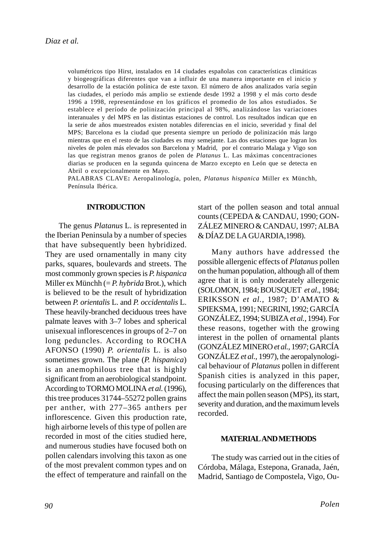volumétricos tipo Hirst, instalados en 14 ciudades españolas con características climáticas y biogeográficas diferentes que van a influir de una manera importante en el inicio y desarrollo de la estación polínica de este taxon. El número de años analizados varía según las ciudades, el período más amplio se extiende desde 1992 a 1998 y el más corto desde 1996 a 1998, representándose en los gráficos el promedio de los años estudiados. Se establece el período de polinización principal al 98%, analizándose las variaciones interanuales y del MPS en las distintas estaciones de control. Los resultados indican que en la serie de años muestreados existen notables diferencias en el inicio, severidad y final del MPS; Barcelona es la ciudad que presenta siempre un período de polinización más largo mientras que en el resto de las ciudades es muy semejante. Las dos estaciones que logran los niveles de polen más elevados son Barcelona y Madrid, por el contrario Malaga y Vigo son las que registran menos granos de polen de *Platanus* L*.* Las máximas concentraciones diarias se producen en la segunda quincena de Marzo excepto en León que se detecta en Abril o excepcionalmente en Mayo.

PALABRAS CLAVE**:** Aeropalinología, polen, *Platanus hispanica* Miller ex Münchh, Península Ibérica.

#### **INTRODUCTION**

The genus *Platanus* L. is represented in the Iberian Peninsula by a number of species that have subsequently been hybridized. They are used ornamentally in many city parks, squares, boulevards and streets. The most commonly grown species is *P. hispanica* Miller ex Münchh (= *P. hybrida* Brot.), which is believed to be the result of hybridization between *P. orientalis* L. and *P. occidentalis* L. These heavily-branched deciduous trees have palmate leaves with 3–7 lobes and spherical unisexual inflorescences in groups of 2–7 on long peduncles. According to ROCHA AFONSO (1990) *P. orientalis* L. is also sometimes grown. The plane (*P. hispanica*) is an anemophilous tree that is highly significant from an aerobiological standpoint. According to TORMO MOLINA *et al.* (1996), this tree produces 31744–55272 pollen grains per anther, with 277–365 anthers per inflorescence. Given this production rate, high airborne levels of this type of pollen are recorded in most of the cities studied here, and numerous studies have focused both on pollen calendars involving this taxon as one of the most prevalent common types and on the effect of temperature and rainfall on the start of the pollen season and total annual counts (CEPEDA & CANDAU, 1990; GON-ZÁLEZ MINERO & CANDAU, 1997; ALBA & DÍAZ DE LA GUARDIA,1998).

Many authors have addressed the possible allergenic effects of *Platanus* pollen on the human population, although all of them agree that it is only moderately allergenic (SOLOMON, 1984; BOUSQUET *et al*., 1984; ERIKSSON *et al.,* 1987; D'AMATO & SPIEKSMA, 1991; NEGRINI, 1992; GARCÍA GONZÁLEZ, 1994; SUBIZA *et al.,* 1994). For these reasons, together with the growing interest in the pollen of ornamental plants (GONZÁLEZ MINERO *et al.,* 1997; GARCÍA GONZÁLEZ *et al.,* 1997), the aeropalynological behaviour of *Platanus* pollen in different Spanish cities is analyzed in this paper, focusing particularly on the differences that affect the main pollen season (MPS), its start, severity and duration, and the maximum levels recorded.

#### **MATERIAL AND METHODS**

The study was carried out in the cities of Córdoba, Málaga, Estepona, Granada, Jaén, Madrid, Santiago de Compostela, Vigo, Ou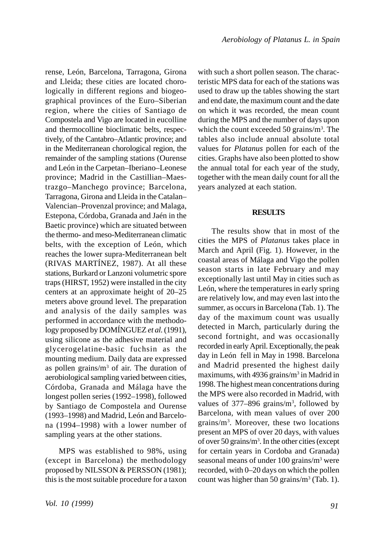rense, León, Barcelona, Tarragona, Girona and Lleida; these cities are located chorologically in different regions and biogeographical provinces of the Euro–Siberian region, where the cities of Santiago de Compostela and Vigo are located in eucolline and thermocolline bioclimatic belts, respectively, of the Cantabro–Atlantic province; and in the Mediterranean chorological region, the remainder of the sampling stations (Ourense and León in the Carpetan–Iberiano–Leonese province; Madrid in the Castillian–Maestrazgo–Manchego province; Barcelona, Tarragona, Girona and Lleida in the Catalan– Valencian–Provenzal province; and Malaga, Estepona, Córdoba, Granada and Jaén in the Baetic province) which are situated between the thermo- and meso-Mediterranean climatic belts, with the exception of León, which reaches the lower supra-Mediterranean belt (RIVAS MARTÍNEZ, 1987). At all these stations, Burkard or Lanzoni volumetric spore traps (HIRST, 1952) were installed in the city centers at an approximate height of 20–25 meters above ground level. The preparation and analysis of the daily samples was performed in accordance with the methodology proposed by DOMÍNGUEZ *et al.* (1991), using silicone as the adhesive material and glycerogelatine-basic fuchsin as the mounting medium. Daily data are expressed as pollen grains/ $m<sup>3</sup>$  of air. The duration of aerobiological sampling varied between cities, Córdoba, Granada and Málaga have the longest pollen series (1992–1998), followed by Santiago de Compostela and Ourense (1993–1998) and Madrid, León and Barcelona (1994–1998) with a lower number of sampling years at the other stations.

MPS was established to 98%, using (except in Barcelona) the methodology proposed by NILSSON & PERSSON (1981); this is the most suitable procedure for a taxon

with such a short pollen season. The characteristic MPS data for each of the stations was used to draw up the tables showing the start and end date, the maximum count and the date on which it was recorded, the mean count during the MPS and the number of days upon which the count exceeded 50 grains/ $m<sup>3</sup>$ . The tables also include annual absolute total values for *Platanus* pollen for each of the cities. Graphs have also been plotted to show the annual total for each year of the study, together with the mean daily count for all the years analyzed at each station.

#### **RESULTS**

The results show that in most of the cities the MPS of *Platanus* takes place in March and April (Fig. 1). However, in the coastal areas of Málaga and Vigo the pollen season starts in late February and may exceptionally last until May in cities such as León, where the temperatures in early spring are relatively low, and may even last into the summer, as occurs in Barcelona (Tab. 1). The day of the maximum count was usually detected in March, particularly during the second fortnight, and was occasionally recorded in early April. Exceptionally, the peak day in León fell in May in 1998. Barcelona and Madrid presented the highest daily maximums, with 4936 grains/m<sup>3</sup> in Madrid in 1998. The highest mean concentrations during the MPS were also recorded in Madrid, with values of  $377-896$  grains/m<sup>3</sup>, followed by Barcelona, with mean values of over 200 grains/m3 . Moreover, these two locations present an MPS of over 20 days, with values of over 50 grains/m3 . In the other cities (except for certain years in Cordoba and Granada) seasonal means of under  $100$  grains/ $m<sup>3</sup>$  were recorded, with 0–20 days on which the pollen count was higher than 50 grains/ $m^3$  (Tab. 1).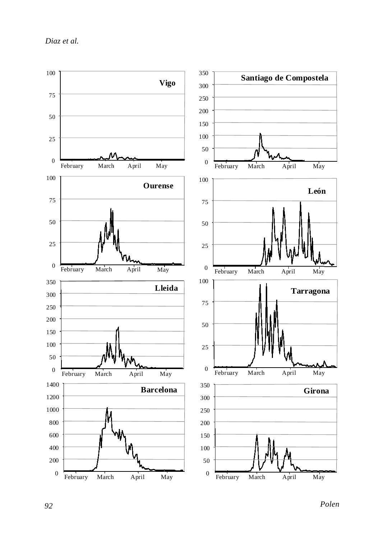*Diaz et al.*

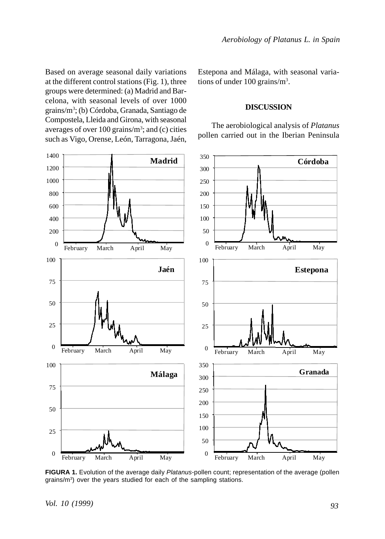Based on average seasonal daily variations at the different control stations (Fig. 1), three groups were determined: (a) Madrid and Barcelona, with seasonal levels of over 1000 grains/m3 ; (b) Córdoba, Granada, Santiago de Compostela, Lleida and Girona, with seasonal averages of over  $100$  grains/ $m^3$ ; and (c) cities such as Vigo, Orense, León, Tarragona, Jaén, Estepona and Málaga, with seasonal variations of under 100 grains/m<sup>3</sup>.

#### **DISCUSSION**

The aerobiological analysis of *Platanus* pollen carried out in the Iberian Peninsula



**FIGURA 1.** Evolution of the average daily *Platanus*-pollen count; representation of the average (pollen grains/m<sup>3</sup>) over the years studied for each of the sampling stations.

*Vol. 10 (1999)*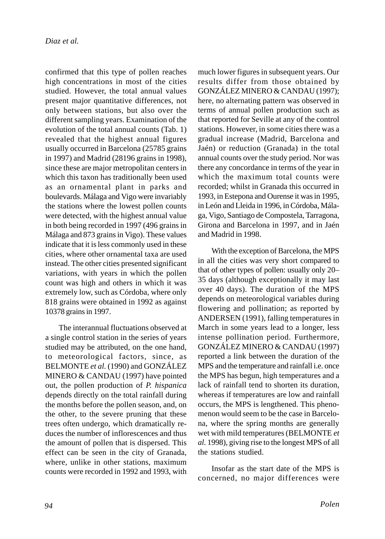confirmed that this type of pollen reaches high concentrations in most of the cities studied. However, the total annual values present major quantitative differences, not only between stations, but also over the different sampling years. Examination of the evolution of the total annual counts (Tab. 1) revealed that the highest annual figures usually occurred in Barcelona (25785 grains in 1997) and Madrid (28196 grains in 1998), since these are major metropolitan centers in which this taxon has traditionally been used as an ornamental plant in parks and boulevards. Málaga and Vigo were invariably the stations where the lowest pollen counts were detected, with the highest annual value in both being recorded in 1997 (496 grains in Málaga and 873 grains in Vigo). These values indicate that it is less commonly used in these cities, where other ornamental taxa are used instead. The other cities presented significant variations, with years in which the pollen count was high and others in which it was extremely low, such as Córdoba, where only 818 grains were obtained in 1992 as against 10378 grains in 1997.

The interannual fluctuations observed at a single control station in the series of years studied may be attributed, on the one hand, to meteorological factors, since, as BELMONTE *et al.* (1990) and GONZÁLEZ MINERO & CANDAU (1997) have pointed out, the pollen production of *P. hispanica* depends directly on the total rainfall during the months before the pollen season, and, on the other, to the severe pruning that these trees often undergo, which dramatically reduces the number of inflorescences and thus the amount of pollen that is dispersed. This effect can be seen in the city of Granada, where, unlike in other stations, maximum counts were recorded in 1992 and 1993, with much lower figures in subsequent years. Our results differ from those obtained by GONZÁLEZ MINERO & CANDAU (1997); here, no alternating pattern was observed in terms of annual pollen production such as that reported for Seville at any of the control stations. However, in some cities there was a gradual increase (Madrid, Barcelona and Jaén) or reduction (Granada) in the total annual counts over the study period. Nor was there any concordance in terms of the year in which the maximum total counts were recorded; whilst in Granada this occurred in 1993, in Estepona and Ourense it was in 1995, in León and Lleida in 1996, in Córdoba, Málaga, Vigo, Santiago de Compostela, Tarragona, Girona and Barcelona in 1997, and in Jaén and Madrid in 1998.

With the exception of Barcelona, the MPS in all the cities was very short compared to that of other types of pollen: usually only 20– 35 days (although exceptionally it may last over 40 days). The duration of the MPS depends on meteorological variables during flowering and pollination; as reported by ANDERSEN (1991), falling temperatures in March in some years lead to a longer, less intense pollination period. Furthermore, GONZÁLEZ MINERO & CANDAU (1997) reported a link between the duration of the MPS and the temperature and rainfall i.e. once the MPS has begun, high temperatures and a lack of rainfall tend to shorten its duration, whereas if temperatures are low and rainfall occurs, the MPS is lengthened. This phenomenon would seem to be the case in Barcelona, where the spring months are generally wet with mild temperatures (BELMONTE *et al.* 1998), giving rise to the longest MPS of all the stations studied.

Insofar as the start date of the MPS is concerned, no major differences were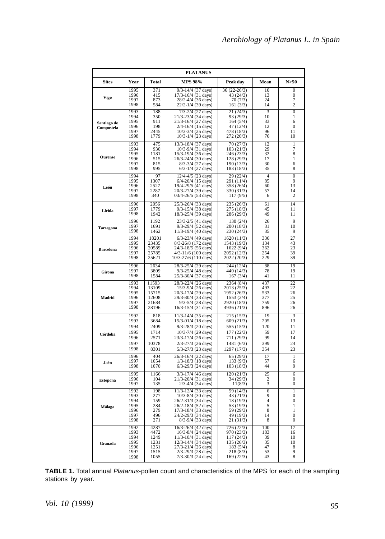|                  | <b>PLATANUS</b> |                |                                            |                            |                |
|------------------|-----------------|----------------|--------------------------------------------|----------------------------|----------------|
| <b>Sites</b>     | Year            | <b>Total</b>   | <b>MPS 98%</b>                             | Peak day                   | Mean           |
| Vigo             | 1995            | 371            | 9/3-14/4 (37 days)                         | 36 (22-26/3)               | 10             |
|                  | 1996            | 415            | 17/3-16/4 (31 days)                        | 43 (24/3)                  | 13             |
|                  | 1997<br>1998    | 873<br>584     | 28/2-4/4 (36 days)<br>22/2-1/4 (39 days)   | 70(7/3)<br>161(3/3)        | 24<br>14       |
|                  |                 |                |                                            |                            |                |
|                  | 1993<br>1994    | 188<br>350     | 7/3-2/4 (27 days)<br>21/3-23/4 (34 days)   | 21 (24/3)<br>93 (29/3)     | 3<br>10        |
| Santiago de      | 1995            | 911            | 21/3-16/4 (27 days)                        | 164(5/4)                   | 33             |
| Compostela       | 1996            | 198            | 2/4-16/4 (15 days)                         | 47 (12/4)                  | 12             |
|                  | 1997            | 2445           | 10/3-3/4 (25 days)                         | 478 (18/3)                 | 96             |
|                  | 1998            | 1779           | 10/3-1/4 (23 days)                         | 272 (20/3)                 | 76             |
|                  | 1993            | 475            | 13/3-18/4 (37 days)                        | 70 (27/3)                  | 12             |
|                  | 1994            | 930            | 10/3-9/4 (31 days)                         | 103(21/3)                  | 29             |
|                  | 1995            | 1181           | 15/3-19/4 (36 days)                        | 246 (23/3)                 | 32             |
| Ourense          | 1996            | 515            | 26/3-24/4 (30 days)                        | 128 (29/3)                 | 17             |
|                  | 1997            | 815            | $8/3 - 3/4$ (27 days)                      | 190 (13/3)                 | 30             |
|                  | 1998            | 995            | $6/3-1/4$ (27 days)                        | 183 (18/3)                 | 35             |
|                  | 1994            | 97             | $\sqrt{12/4-4/5}$ (23 days)                | 29 (22/4)                  | $\overline{4}$ |
|                  | 1995<br>1996    | 1307<br>2527   | $6/4 - 20/4$ (15 days)                     | 291 (11/4)                 | 85<br>60       |
| León             | 1997            | 2287           | 19/4-29/5 (41 days)<br>20/3-27/4 (39 days) | 358 (26/4)<br>330 (31/3)   | 57             |
|                  | 1998            | 340            | 03/4-26/5 (53 days)                        | 117(9/5)                   | 6              |
|                  |                 |                |                                            |                            |                |
|                  | 1996<br>1997    | 2056<br>1779   | 25/3-26/4 (33 days)                        | 235(26/3)                  | 61<br>45       |
| Lleida           | 1998            | 1942           | 9/3-15/4 (38 days)<br>18/3-25/4 (39 days)  | 275 (18/3)<br>286 (29/3)   | 49             |
|                  | 1996            | 1192           | 23/3-2/5 (41 days)                         | 130(2/4)                   | 26             |
| Tarragona        | 1997            | 1691           | 9/3-29/4 (52 days)                         | 200(18/3)                  | 31             |
|                  | 1998            | 1462           | $11/3 - 19/4$ (40 days)                    | 230(24/3)                  | 35             |
|                  | 1994            | 18201          | $6/3 - 23/4$ (49 days)                     | 1620 (11/3)                | 336            |
|                  | 1995            | 23435          | 8/3-26/8 (172 days)                        | 1543 (19/3)                | 134            |
| <b>Barcelona</b> | 1996            | 20589          | 24/3-18/5 (56 days)                        | 1622 (9/4)                 | 362            |
|                  | 1997            | 25785          | 4/3-11/6 (100 days)                        | 2052 (12/3)                | 254            |
|                  | 1998            | 25621          | 10/3-27/6 (110 days)                       | 2022 (20/3)                | 229            |
| Girona           | 1996            | 2634           | 28/3-25/4 (29 days)                        | 244 (12/4)                 | 88             |
|                  | 1997<br>1998    | 3809           | $9/3 - 25/4$ (48 days)                     | 440 (14/3)                 | 78             |
|                  |                 | 1584           | 25/3-30/4 (37 days)                        | 167(3/4)                   | 41             |
| Madrid           | 1993<br>1994    | 11593<br>13109 | 28/3-22/4 (26 days)                        | 2364 (8/4)                 | 437<br>493     |
|                  | 1995            | 15715          | 15/3-9/4 (26 days)<br>20/3-17/4 (29 days)  | 2013 (25/3)<br>1952 (26/3) | 533            |
|                  | 1996            | 12608          | 29/3-30/4 (33 days)                        | 1553 (2/4)                 | 377            |
|                  | 1997            | 21684          | 9/3-5/4 (28 days)                          | 2920 (18/3)                | 759            |
|                  | 1998            | 28196          | 16/3-15/4 (31 days)                        | 4936 (21/3)                | 896            |
| Córdoba          | 1992            | 818            | $11/3 - 14/4$ (35 days)                    | 215(15/3)                  | 19             |
|                  | 1993            | 3684           | 15/3-01/4 (18 days)                        | 609 (21/3)                 | 205            |
|                  | 1994            | 2409           | $9/3 - 28/3$ (20 days)                     | 555 (15/3)                 | 120            |
|                  | 1995            | 1714           | 10/3-7/4 (29 days)                         | 177(22/3)                  | 59             |
|                  | 1996            | 2571           | 23/3-17/4 (26 days)                        | 711 (29/3)                 | 99             |
|                  | 1997            | 10378          | 2/3-27/3 (26 days)                         | 1481(6/3)                  | 399            |
|                  | 1998            | 8301           | 5/3-27/3 (23 days)                         | 1297 (17/3)                | 354            |
|                  | 1996            | 404            | 26/3-16/4 (22 days)                        | 65(29/3)                   | 17             |
| Jaén             | 1997            | 1054           | 1/3-18/3 (18 days)                         | 133(9/3)                   | 57             |
|                  | 1998            | 1070           | $6/3 - 29/3$ (24 days)                     | 103(18/3)                  | 44             |
| <b>Estepona</b>  | 1995            | 1166           | 3/3-17/4 (46 days)                         | 120(21/3)                  | 25             |
|                  | 1996            | 104            | 21/3-20/4 (31 days)                        | 34 (29/3)                  | $\overline{c}$ |
|                  | 1997            | 135            | $2/3 - 4/4$ (34 days)                      | 11(8/3)                    | 3              |
|                  |                 | 198            | 11/3-12/4 (33 days)                        | $\overline{59}$ (14/3)     | 6              |
|                  | 1992            |                |                                            |                            |                |
|                  | 1993            | 277            | 10/3-8/4 (30 days)                         | 43 (21/3)                  | 9              |
|                  | 1994            | 159            | 26/2-31/3 (34 days)                        | 18(19/3)                   | 4              |
| Málaga           | 1995<br>1996    | 284<br>279     | 26/2-18/4 (52 days)                        | 53 (19/3)                  | 5<br>8         |
|                  | 1997            | 496            | 17/3-18/4 (33 days)<br>24/2-29/3 (34 days) | 59 (29/3)<br>49 (19/3)     | 14             |
|                  | 1998            | 271            | 8/3-9/4 (33 days)                          | 21(31/3)                   | 8              |
|                  | 1992            | 4287           | $16/3 - 26/4$ (42 days)                    | 726 (22/3)                 | 100            |
|                  | 1993            | 4472           | 16/3-8/4 (24 days)                         | 970 (23/3)                 | 183            |
|                  | 1994            | 1249           | 11/3-10/4 (31 days)                        | 117 (24/3)                 | 39             |
| Granada          | 1995            | 1231           | 12/3-14/4 (34 days)                        | 135(26/3)                  | 35             |
|                  | 1996<br>1997    | 1251<br>1515   | 27/3-21/4 (26 days)<br>2/3-29/3 (28 days)  | 183 (5/4)<br>218(8/3)      | 47<br>53       |

**TABLE 1.** Total annual *Platanus*-pollen count and characteristics of the MPS for each of the sampling stations by year.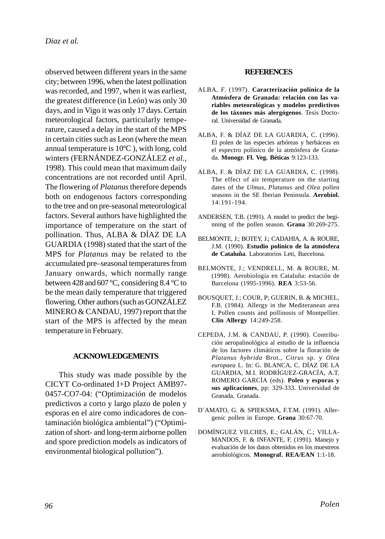observed between different years in the same city; between 1996, when the latest pollination was recorded, and 1997, when it was earliest, the greatest difference (in León) was only 30 days, and in Vigo it was only 17 days. Certain meteorological factors, particularly temperature, caused a delay in the start of the MPS in certain cities such as Leon (where the mean annual temperature is 10ºC ), with long, cold winters (FERNÁNDEZ-GONZÁLEZ *et al.,* 1998). This could mean that maximum daily concentrations are not recorded until April. The flowering of *Platanus* therefore depends both on endogenous factors corresponding to the tree and on pre-seasonal meteorological factors. Several authors have highlighted the importance of temperature on the start of pollination. Thus, ALBA & DÍAZ DE LA GUARDIA (1998) stated that the start of the MPS for *Platanus* may be related to the accumulated pre–seasonal temperatures from January onwards, which normally range between 428 and 607 ºC, considering 8.4 ºC to be the mean daily temperature that triggered flowering. Other authors (such as GONZÁLEZ MINERO & CANDAU, 1997) report that the start of the MPS is affected by the mean temperature in February.

### **ACKNOWLEDGEMENTS**

This study was made possible by the CICYT Co-ordinated I+D Project AMB97- 0457-CO7-04: ("Optimización de modelos predictivos a corto y largo plazo de polen y esporas en el aire como indicadores de contaminación biológica ambiental") ("Optimization of short- and long-term airborne pollen and spore prediction models as indicators of environmental biological pollution").

#### **REFERENCES**

- ALBA, F. (1997). **Caracterización polínica de la Atmósfera de Granada: relación con las variables meteorológicas y modelos predictivos de los táxones más alergógenos**. Tesis Doctoral. Universidad de Granada.
- ALBA, F. & DÍAZ DE LA GUARDIA, C. (1996). El polen de las especies arbóreas y herbáceas en el espectro polínico de la atmósfera de Granada. **Monogr. Fl. Veg. Béticas** 9:123-133.
- ALBA, F. & DÍAZ DE LA GUARDIA, C. (1998). The effect of air temperature on the starting dates of the *Ulmus, Platanus* and *Olea* pollen seasons in the SE Iberian Peninsula. **Aerobiol.** 14:191-194.
- ANDERSEN, T.B. (1991). A model to predict the beginning of the pollen season. **Grana** 30:269-275.
- BELMONTE, J.; BOTEY, J.; CADAHIA, A. & ROURE, J.M. (1990). **Estudio polínico de la atmósfera de Cataluña**. Laboratorios Leti, Barcelona.
- BELMONTE, J.; VENDRELL, M. & ROURE, M. (1998). Aerobiología en Cataluña: estación de Barcelona (1995-1996). **REA** 3:53-56.
- BOUSQUET, J.; COUR, P; GUERIN, B. & MICHEL, F.B. (1984). Allergy in the Mediteranean area I. Pollen counts and pollinosis of Montpellier. **Clin Allergy** 14:249-258.
- CEPEDA, J.M. & CANDAU, P. (1990). Contribución aeropalinológica al estudio de la influencia de los factores climáticos sobre la floración de *Platanus hybrida* Brot., *Citrus* sp. y *Olea europaea* L. In: G. BLANCA, C. DÍAZ DE LA GUARDIA, M.I. RODRÍGUEZ-GRACÍA, A.T. ROMERO GARCÍA (eds). **Polen y esporas y sus aplicaciones**, pp: 329-333. Universidad de Granada, Granada.
- D´AMATO, G. & SPIEKSMA, F.T.M. (1991). Allergenic pollen in Europe. **Grana** 30:67-70.
- DOMÍNGUEZ VILCHES, E.; GALÁN, C.; VILLA-MANDOS, F. & INFANTE, F. (1991). Manejo y evaluación de los datos obtenidos en los muestreos aerobiológicos. **Monograf. REA/EAN** 1:1-18.